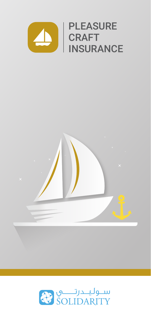



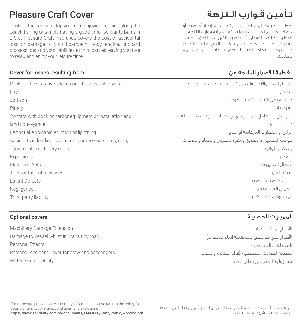Perils of the sea can stop you from enjoying cruising along the coast, fishing or simply having a good time. Solidarity Bahrain B.S.C. Pleasure Craft insurance covers the cost of accidental loss or damage to your boat/yacht body, engine, onboard possessions and your liabilities to third parties leaving you free to relax and enjoy your leisure time.

### Cover for losses resulting from

Perils of the seas rivers lakes or other navigable waters Fire Jettison Piracy Contact with dock or harbor equipment or installation and land conveyance Earthquake volcanic eruption or lightning Accidents in loading, discharging or moving stores, gear, equipment, machinery or fuel Explosions Malicious Acts Theft of the entire vessel Latent Defects Negligence Third party liability

### Optional covers

Machinery Damage Extension Damage to Vessel whilst in Transit by road Personal Effects Personal Accident Cover for crew and passengers Water Skiers Liability

# تـأمين قـوارب الـنزهة Cover Craft Pleasure

أخطار البحر قد تمنعك من التمتع برحلة إبحار أو صيد أو قضاء وقت ممتع. وثيقة سوليدرتي لحماية قوارب النزهة تعطي تكلفة الفقدان أو الاضرار التي قد تلحق بجسم القارب/اليخت والمحرك والممتلكات التي على ظهرها والمسؤولية تجاه الغير لتنعم براحة البال وتستمع برحلتك.

## تغطية للاضرار الناتجة عن

مخاطر البحار وا̄نهار والبحيرات والمياه الصالحة للملاحة الحريق ما يقذف من القارب لتفادي الغرق القرصنة التواصل والتعامل مع المرسى أو معدات المرفأ أو تثبيت القارب والنقل البري الزلازل والانفجارات البركانية أو البرق حوادث التحميل والتفريغ أو نقل المخزون والعتاد والمعدات وا̧لات أو الوقود الإنفحار ا̄عمال التخريبية سرقة القارب عيوب التصنيع الخفية الإهمال الغير متعمد المسؤولية تجاه الغير

### المميزات الحصرية

ا̄ضرار الميكانيكية الأضرار التي قد تلحق بالسفينة أثناء نقلها براً المتعلقات الشخصية تغطية الحوادث الشخصية ̄فراد الطاقم والركاب مسؤولية المتزلجون على الماء